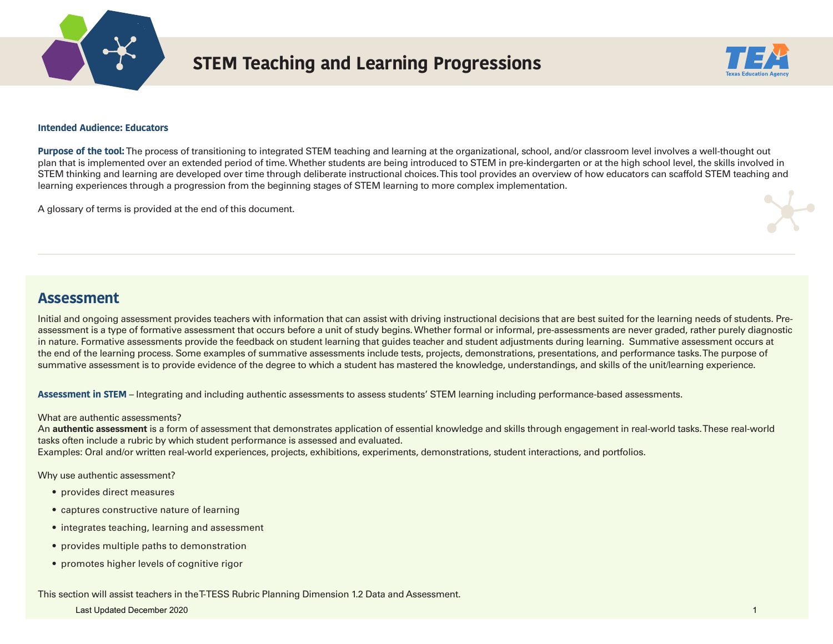

# **STEM Teaching and Learning Progressions**



### **Intended Audience: Educators**

**Purpose of the tool:** The process of transitioning to integrated STEM teaching and learning at the organizational, school, and/or classroom level involves a well-thought out plan that is implemented over an extended period of time. Whether students are being introduced to STEM in pre-kindergarten or at the high school level, the skills involved in STEM thinking and learning are developed over time through deliberate instructional choices. This tool provides an overview of how educators can scaffold STEM teaching and learning experiences through a progression from the beginning stages of STEM learning to more complex implementation.

A glossary of terms is provided at the end of this document.

# **Assessment**

Initial and ongoing assessment provides teachers with information that can assist with driving instructional decisions that are best suited for the learning needs of students. Preassessment is a type of formative assessment that occurs before a unit of study begins. Whether formal or informal, pre-assessments are never graded, rather purely diagnostic in nature. Formative assessments provide the feedback on student learning that guides teacher and student adjustments during learning. Summative assessment occurs at the end of the learning process. Some examples of summative assessments include tests, projects, demonstrations, presentations, and performance tasks. The purpose of summative assessment is to provide evidence of the degree to which a student has mastered the knowledge, understandings, and skills of the unit/learning experience.

**Assessment in STEM** – Integrating and including authentic assessments to assess students' STEM learning including performance-based assessments.

### What are authentic assessments?

An **authentic assessment** is a form of assessment that demonstrates application of essential knowledge and skills through engagement in real-world tasks. These real-world tasks often include a rubric by which student performance is assessed and evaluated.

Examples: Oral and/or written real-world experiences, projects, exhibitions, experiments, demonstrations, student interactions, and portfolios.

Why use authentic assessment?

- provides direct measures
- captures constructive nature of learning
- integrates teaching, learning and assessment
- provides multiple paths to demonstration
- promotes higher levels of cognitive rigor

### This section will assist teachers in the T-TESS Rubric Planning Dimension 1.2 Data and Assessment.

### Last Updated December 2020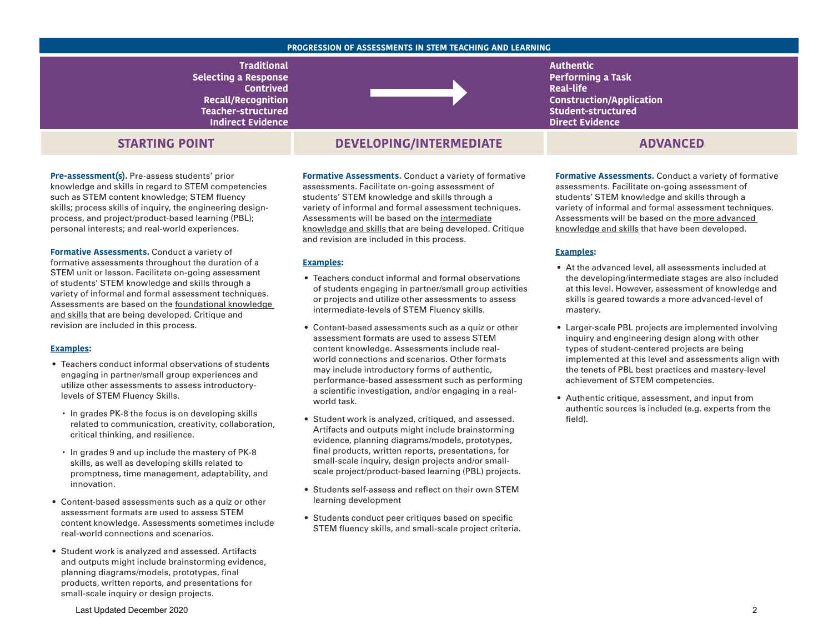#### **PROGRESSION OF ASSESSMENTS IN STEM TEACHING AND LEARNING**

**Traditional Selecting a Response Contrived Recall/Recognition Teacher-structured Indirect Evidence** 

# **STARTING POINT**

**Pre-assessment(s).** Pre-assess students' prior knowledge and skills in regard to STEM competencies such as STEM content knowledge; STEM fluency skills; process skills of inquiry, the engineering designprocess, and project/product-based learning (PBL); personal interests; and real-world experiences.

**Formative Assessments.** Conduct a variety of formative assessments throughout the duration of a STEM unit or lesson. Facilitate on-going assessment of students' STEM knowledge and skills through a variety of informal and formal assessment techniques. Assessments are based on the foundational knowledge and skills that are being developed. Critique and revision are included in this process.

#### **Examples:**

- Teachers conduct informal observations of students engaging in partner/small group experiences and utilize other assessments to assess introductorylevels of STEM Fluency Skills.
	- In grades PK-8 the focus is on developing skills related to communication, creativity, collaboration, critical thinking, and resilience.
	- In grades 9 and up include the mastery of PK-8 skills, as well as developing skills related to promptness, time management, adaptability, and innovation.
- Content-based assessments such as a quiz or other assessment formats are used to assess STEM content knowledge. Assessments sometimes include real-world connections and scenarios.
- Student work is analyzed and assessed. Artifacts and outputs might include brainstorming evidence, planning diagrams/models, prototypes, final products, written reports, and presentations for small-scale inquiry or design projects.

# **DEVELOPING/INTERMEDIATE ADVANCED**

**Formative Assessments.** Conduct a variety of formative assessments. Facilitate on-going assessment of students' STEM knowledge and skills through a variety of informal and formal assessment techniques. Assessments will be based on the intermediate knowledge and skills that are being developed. Critique and revision are included in this process.

#### **Examples:**

- Teachers conduct informal and formal observations of students engaging in partner/small group activities or projects and utilize other assessments to assess intermediate-levels of STEM Fluency skills.
- Content-based assessments such as a quiz or other assessment formats are used to assess STEM content knowledge. Assessments include realworld connections and scenarios. Other formats may include introductory forms of authentic, performance-based assessment such as performing a scientific investigation, and/or engaging in a realworld task.
- Student work is analyzed, critiqued, and assessed. Artifacts and outputs might include brainstorming evidence, planning diagrams/models, prototypes, final products, written reports, presentations, for small-scale inquiry, design projects and/or smallscale project/product-based learning (PBL) projects.
- Students self-assess and reflect on their own STEM learning development
- Students conduct peer critiques based on specific STEM fluency skills, and small-scale project criteria.

**Authentic Performing a Task Real-life Construction/Application Student-structured Direct Evidence** 

**Formative Assessments.** Conduct a variety of formative assessments. Facilitate on-going assessment of students' STEM knowledge and skills through a variety of informal and formal assessment techniques. Assessments will be based on the more advanced knowledge and skills that have been developed.

#### **Examples:**

- At the advanced level, all assessments included at the developing/intermediate stages are also included at this level. However, assessment of knowledge and skills is geared towards a more advanced-level of mastery.
- Larger-scale PBL projects are implemented involving inquiry and engineering design along with other types of student-centered projects are being implemented at this level and assessments align with the tenets of PBL best practices and mastery-level achievement of STEM competencies.
- Authentic critique, assessment, and input from authentic sources is included (e.g. experts from the field).

Last Updated December 2020 2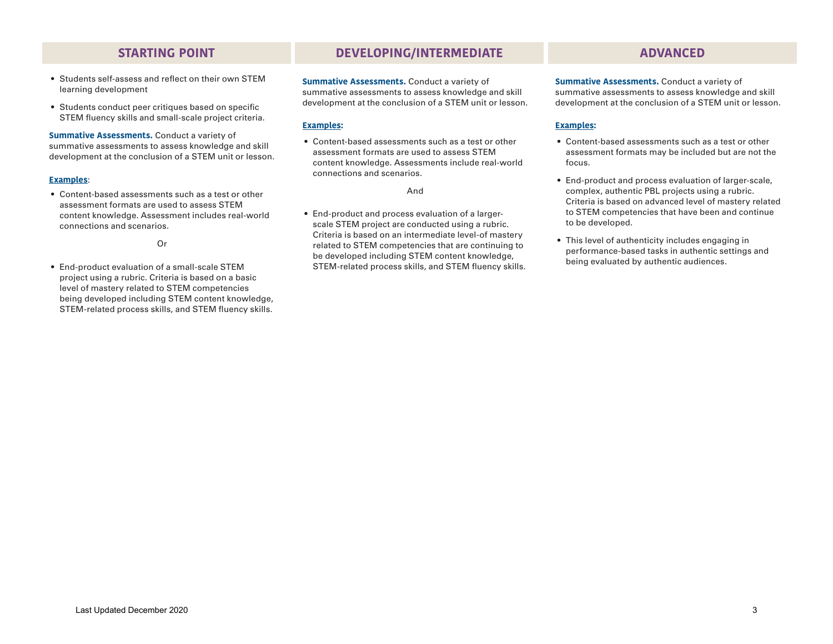- Students self-assess and reflect on their own STEM learning development
- Students conduct peer critiques based on specific STEM fluency skills and small-scale project criteria.

**Summative Assessments.** Conduct a variety of summative assessments to assess knowledge and skill development at the conclusion of a STEM unit or lesson.

### **Examples**:

• Content-based assessments such as a test or other assessment formats are used to assess STEM content knowledge. Assessment includes real-world connections and scenarios.

Or

• End-product evaluation of a small-scale STEM project using a rubric. Criteria is based on a basic level of mastery related to STEM competencies being developed including STEM content knowledge, STEM-related process skills, and STEM fluency skills.

# **STARTING POINT DEVELOPING/INTERMEDIATE ADVANCED**

**Summative Assessments.** Conduct a variety of summative assessments to assess knowledge and skill development at the conclusion of a STEM unit or lesson.

### **Examples:**

• Content-based assessments such as a test or other assessment formats are used to assess STEM content knowledge. Assessments include real-world connections and scenarios.

And

• End-product and process evaluation of a largerscale STEM project are conducted using a rubric. Criteria is based on an intermediate level-of mastery related to STEM competencies that are continuing to be developed including STEM content knowledge, STEM-related process skills, and STEM fluency skills.

**Summative Assessments.** Conduct a variety of summative assessments to assess knowledge and skill development at the conclusion of a STEM unit or lesson.

- Content-based assessments such as a test or other assessment formats may be included but are not the focus.
- End-product and process evaluation of larger-scale, complex, authentic PBL projects using a rubric. Criteria is based on advanced level of mastery related to STEM competencies that have been and continue to be developed.
- This level of authenticity includes engaging in performance-based tasks in authentic settings and being evaluated by authentic audiences.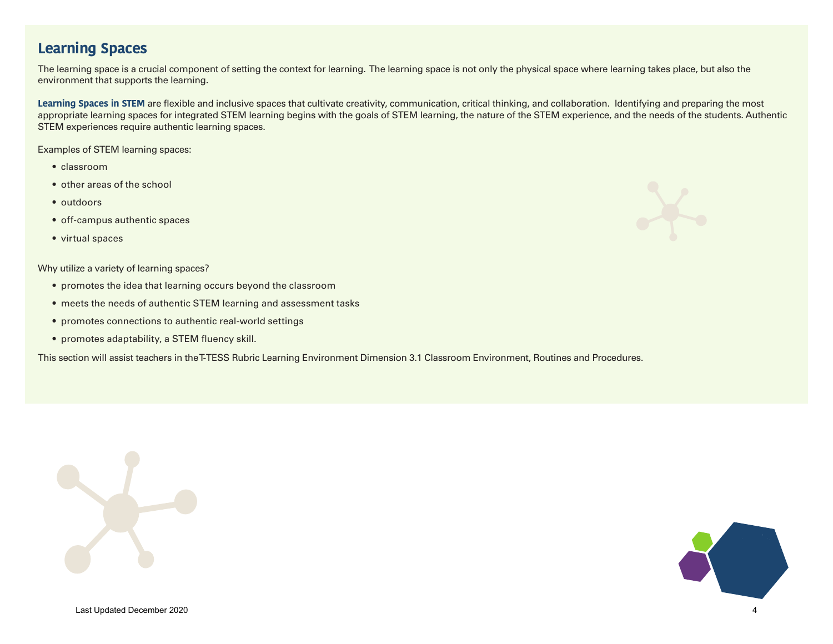# **Learning Spaces**

The learning space is a crucial component of setting the context for learning. The learning space is not only the physical space where learning takes place, but also the environment that supports the learning.

Learning Spaces in STEM are flexible and inclusive spaces that cultivate creativity, communication, critical thinking, and collaboration. Identifying and preparing the most appropriate learning spaces for integrated STEM learning begins with the goals of STEM learning, the nature of the STEM experience, and the needs of the students. Authentic STEM experiences require authentic learning spaces.

Examples of STEM learning spaces:

- classroom
- other areas of the school
- outdoors
- off-campus authentic spaces
- virtual spaces

Why utilize a variety of learning spaces?

- promotes the idea that learning occurs beyond the classroom
- meets the needs of authentic STEM learning and assessment tasks
- promotes connections to authentic real-world settings
- promotes adaptability, a STEM fluency skill.

This section will assist teachers in the T-TESS Rubric Learning Environment Dimension 3.1 Classroom Environment, Routines and Procedures.





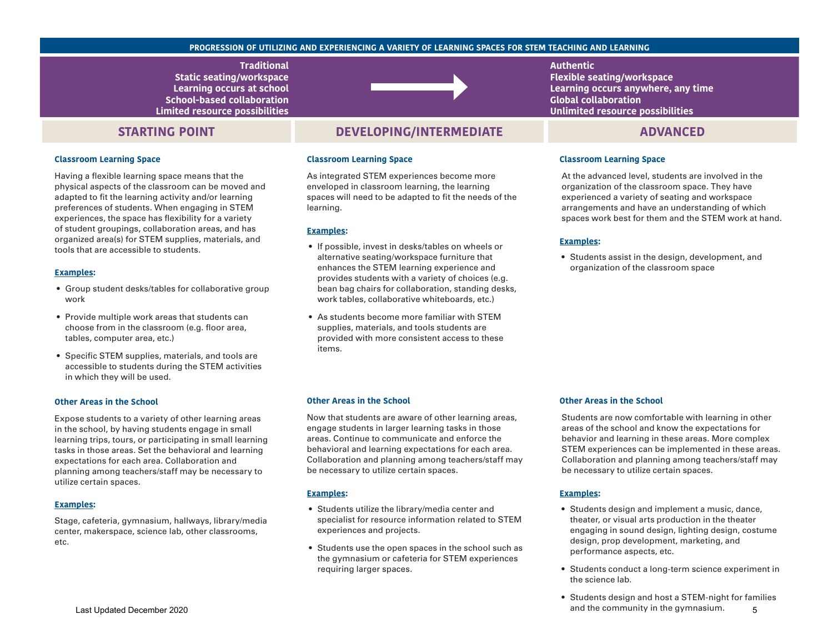#### **PROGRESSION OF UTILIZING AND EXPERIENCING A VARIETY OF LEARNING SPACES FOR STEM TEACHING AND LEARNING**

**Traditional Static seating/workspace Learning occurs at school School-based collaboration Limited resource possibilities** 

## **STARTING POINT**

#### **Classroom Learning Space**

Having a flexible learning space means that the physical aspects of the classroom can be moved and adapted to fit the learning activity and/or learning preferences of students. When engaging in STEM experiences, the space has flexibility for a variety of student groupings, collaboration areas, and has organized area(s) for STEM supplies, materials, and tools that are accessible to students.

#### **Examples:**

- Group student desks/tables for collaborative group work
- Provide multiple work areas that students can choose from in the classroom (e.g. floor area, tables, computer area, etc.)
- Specific STEM supplies, materials, and tools are accessible to students during the STEM activities in which they will be used.

#### **Other Areas in the School**

Expose students to a variety of other learning areas in the school, by having students engage in small learning trips, tours, or participating in small learning tasks in those areas. Set the behavioral and learning expectations for each area. Collaboration and planning among teachers/staff may be necessary to utilize certain spaces.

### **Examples:**

Stage, cafeteria, gymnasium, hallways, library/media center, makerspace, science lab, other classrooms, etc.



### **DEVELOPING/INTERMEDIATE ADVANCED**

#### **Classroom Learning Space**

As integrated STEM experiences become more enveloped in classroom learning, the learning spaces will need to be adapted to fit the needs of the learning.

#### **Examples:**

- If possible, invest in desks/tables on wheels or alternative seating/workspace furniture that enhances the STEM learning experience and provides students with a variety of choices (e.g. bean bag chairs for collaboration, standing desks, work tables, collaborative whiteboards, etc.)
- As students become more familiar with STEM supplies, materials, and tools students are provided with more consistent access to these items.

### **Authentic Flexible seating/workspace Learning occurs anywhere, any time Global collaboration Unlimited resource possibilities**

#### **Classroom Learning Space**

At the advanced level, students are involved in the organization of the classroom space. They have experienced a variety of seating and workspace arrangements and have an understanding of which spaces work best for them and the STEM work at hand.

#### **Examples:**

• Students assist in the design, development, and organization of the classroom space

#### **Other Areas in the School**

Now that students are aware of other learning areas, engage students in larger learning tasks in those areas. Continue to communicate and enforce the behavioral and learning expectations for each area. Collaboration and planning among teachers/staff may be necessary to utilize certain spaces.

#### **Examples:**

- Students utilize the library/media center and specialist for resource information related to STEM experiences and projects.
- Students use the open spaces in the school such as the gymnasium or cafeteria for STEM experiences requiring larger spaces.

#### **Other Areas in the School**

Students are now comfortable with learning in other areas of the school and know the expectations for behavior and learning in these areas. More complex STEM experiences can be implemented in these areas. Collaboration and planning among teachers/staff may be necessary to utilize certain spaces.

- Students design and implement a music, dance, theater, or visual arts production in the theater engaging in sound design, lighting design, costume design, prop development, marketing, and performance aspects, etc.
- Students conduct a long-term science experiment in the science lab.
- Students design and host a STEM-night for families and the community in the gymnasium. 5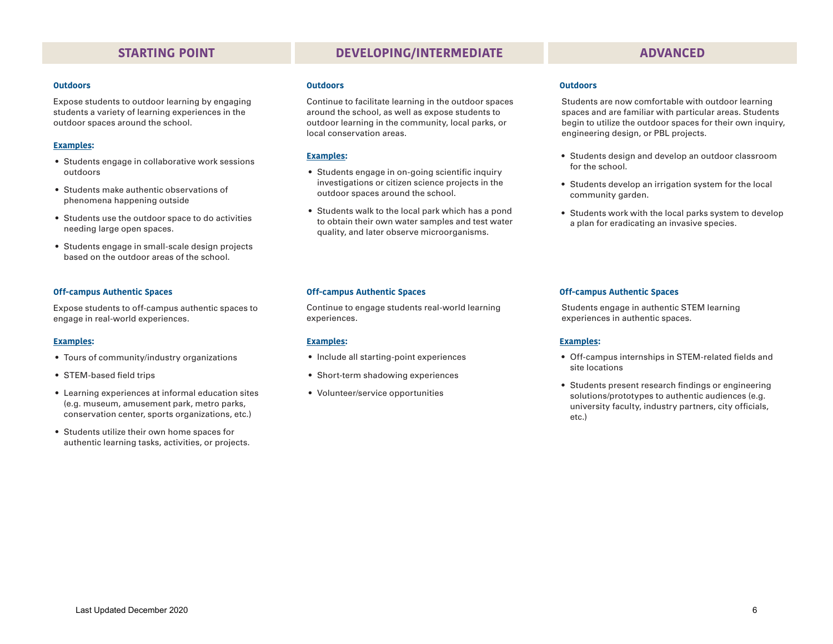#### **Outdoors**

Expose students to outdoor learning by engaging students a variety of learning experiences in the outdoor spaces around the school.

#### **Examples:**

- Students engage in collaborative work sessions outdoors
- Students make authentic observations of phenomena happening outside
- Students use the outdoor space to do activities needing large open spaces.
- Students engage in small-scale design projects based on the outdoor areas of the school.

#### **Off-campus Authentic Spaces**

Expose students to off-campus authentic spaces to engage in real-world experiences.

#### **Examples:**

- Tours of community/industry organizations
- STEM-based field trips
- Learning experiences at informal education sites (e.g. museum, amusement park, metro parks, conservation center, sports organizations, etc.)
- Students utilize their own home spaces for authentic learning tasks, activities, or projects.

# **STARTING POINT DEVELOPING/INTERMEDIATE ADVANCED**

#### **Outdoors**

Continue to facilitate learning in the outdoor spaces around the school, as well as expose students to outdoor learning in the community, local parks, or local conservation areas.

### **Examples:**

- Students engage in on-going scientific inquiry investigations or citizen science projects in the outdoor spaces around the school.
- Students walk to the local park which has a pond to obtain their own water samples and test water quality, and later observe microorganisms.

#### **Outdoors**

Students are now comfortable with outdoor learning spaces and are familiar with particular areas. Students begin to utilize the outdoor spaces for their own inquiry, engineering design, or PBL projects.

- Students design and develop an outdoor classroom for the school.
- Students develop an irrigation system for the local community garden.
- Students work with the local parks system to develop a plan for eradicating an invasive species.

### **Off-campus Authentic Spaces**

Continue to engage students real-world learning experiences.

#### **Examples:**

- Include all starting-point experiences
- Short-term shadowing experiences
- Volunteer/service opportunities

#### **Off-campus Authentic Spaces**

Students engage in authentic STEM learning experiences in authentic spaces.

- Off-campus internships in STEM-related fields and site locations
- Students present research findings or engineering solutions/prototypes to authentic audiences (e.g. university faculty, industry partners, city officials, etc.)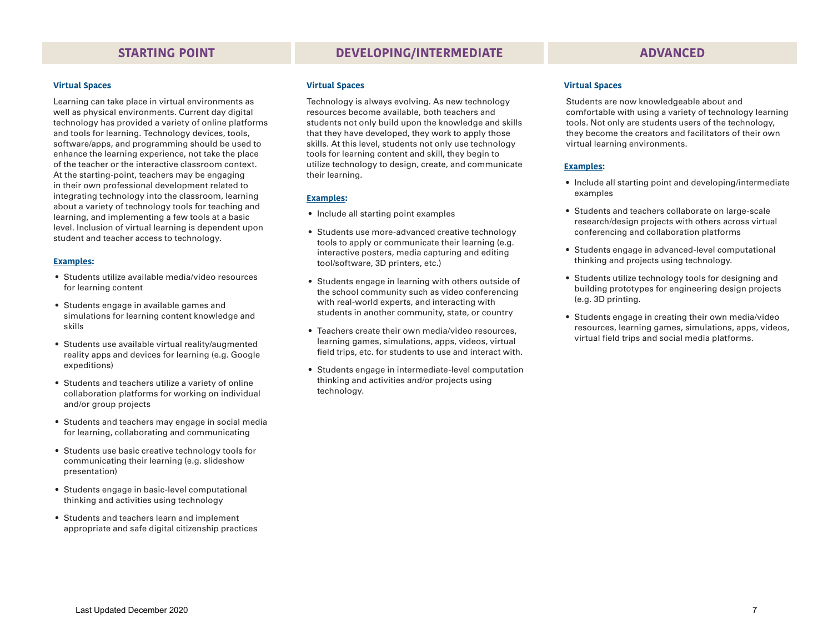# **STARTING POINT DEVELOPING/INTERMEDIATE ADVANCED**

#### **Virtual Spaces**

Learning can take place in virtual environments as well as physical environments. Current day digital technology has provided a variety of online platforms and tools for learning. Technology devices, tools, software/apps, and programming should be used to enhance the learning experience, not take the place of the teacher or the interactive classroom context. At the starting-point, teachers may be engaging in their own professional development related to integrating technology into the classroom, learning about a variety of technology tools for teaching and learning, and implementing a few tools at a basic level. Inclusion of virtual learning is dependent upon student and teacher access to technology.

#### **Examples:**

- Students utilize available media/video resources for learning content
- Students engage in available games and simulations for learning content knowledge and skills
- Students use available virtual reality/augmented reality apps and devices for learning (e.g. Google expeditions)
- Students and teachers utilize a variety of online collaboration platforms for working on individual and/or group projects
- Students and teachers may engage in social media for learning, collaborating and communicating
- Students use basic creative technology tools for communicating their learning (e.g. slideshow presentation)
- Students engage in basic-level computational thinking and activities using technology
- Students and teachers learn and implement appropriate and safe digital citizenship practices

#### **Virtual Spaces**

Technology is always evolving. As new technology resources become available, both teachers and students not only build upon the knowledge and skills that they have developed, they work to apply those skills. At this level, students not only use technology tools for learning content and skill, they begin to utilize technology to design, create, and communicate their learning.

#### **Examples:**

- Include all starting point examples
- Students use more-advanced creative technology tools to apply or communicate their learning (e.g. interactive posters, media capturing and editing tool/software, 3D printers, etc.)
- Students engage in learning with others outside of the school community such as video conferencing with real-world experts, and interacting with students in another community, state, or country
- Teachers create their own media/video resources, learning games, simulations, apps, videos, virtual field trips, etc. for students to use and interact with.
- Students engage in intermediate-level computation thinking and activities and/or projects using technology.

#### **Virtual Spaces**

Students are now knowledgeable about and comfortable with using a variety of technology learning tools. Not only are students users of the technology, they become the creators and facilitators of their own virtual learning environments.

- Include all starting point and developing/intermediate examples
- Students and teachers collaborate on large-scale research/design projects with others across virtual conferencing and collaboration platforms
- Students engage in advanced-level computational thinking and projects using technology.
- Students utilize technology tools for designing and building prototypes for engineering design projects (e.g. 3D printing.
- Students engage in creating their own media/video resources, learning games, simulations, apps, videos, virtual field trips and social media platforms.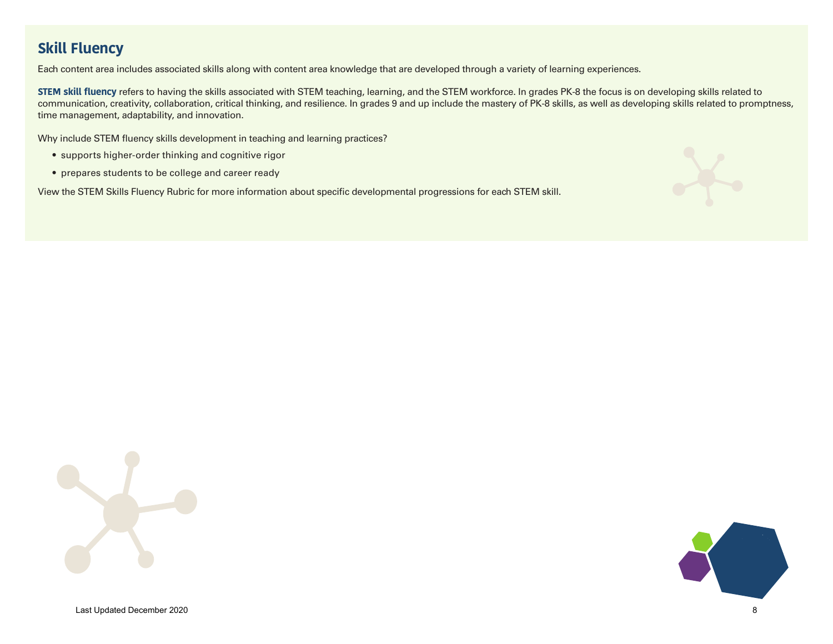# **Skill Fluency**

Each content area includes associated skills along with content area knowledge that are developed through a variety of learning experiences.

**STEM skill fluency** refers to having the skills associated with STEM teaching, learning, and the STEM workforce. In grades PK-8 the focus is on developing skills related to communication, creativity, collaboration, critical thinking, and resilience. In grades 9 and up include the mastery of PK-8 skills, as well as developing skills related to promptness, time management, adaptability, and innovation.

Why include STEM fluency skills development in teaching and learning practices?

- supports higher-order thinking and cognitive rigor
- prepares students to be college and career ready

View the STEM Skills Fluency Rubric for more information about specific developmental progressions for each STEM skill.





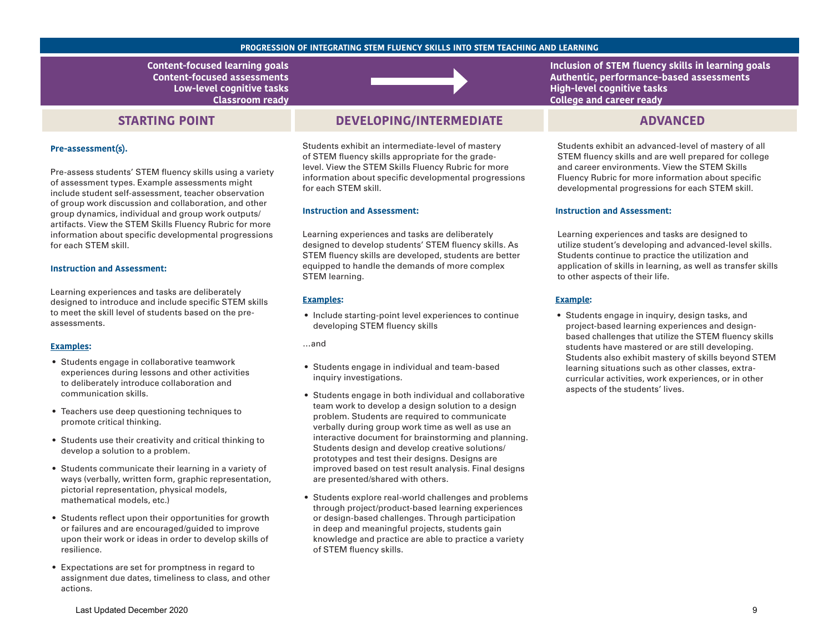#### **PROGRESSION OF INTEGRATING STEM FLUENCY SKILLS INTO STEM TEACHING AND LEARNING**

**Content-focused learning goals Content-focused assessments Low-level cognitive tasks Classroom ready** 

# **STARTING POINT**

#### **Pre-assessment(s).**

Pre-assess students' STEM fluency skills using a variety of assessment types. Example assessments might include student self-assessment, teacher observation of group work discussion and collaboration, and other group dynamics, individual and group work outputs/ artifacts. View the STEM Skills Fluency Rubric for more information about specific developmental progressions for each STEM skill.

### **Instruction and Assessment:**

Learning experiences and tasks are deliberately designed to introduce and include specific STEM skills to meet the skill level of students based on the preassessments.

#### **Examples:**

- Students engage in collaborative teamwork experiences during lessons and other activities to deliberately introduce collaboration and communication skills.
- Teachers use deep questioning techniques to promote critical thinking.
- Students use their creativity and critical thinking to develop a solution to a problem.
- Students communicate their learning in a variety of ways (verbally, written form, graphic representation, pictorial representation, physical models, mathematical models, etc.)
- Students reflect upon their opportunities for growth or failures and are encouraged/guided to improve upon their work or ideas in order to develop skills of resilience.
- Expectations are set for promptness in regard to assignment due dates, timeliness to class, and other actions.



# **DEVELOPING/INTERMEDIATE ADVANCED**

Students exhibit an intermediate-level of mastery of STEM fluency skills appropriate for the gradelevel. View the STEM Skills Fluency Rubric for more information about specific developmental progressions for each STEM skill.

#### **Instruction and Assessment:**

Learning experiences and tasks are deliberately designed to develop students' STEM fluency skills. As STEM fluency skills are developed, students are better equipped to handle the demands of more complex STEM learning.

#### **Examples:**

• Include starting-point level experiences to continue developing STEM fluency skills

…and

- Students engage in individual and team-based inquiry investigations.
- Students engage in both individual and collaborative team work to develop a design solution to a design problem. Students are required to communicate verbally during group work time as well as use an interactive document for brainstorming and planning. Students design and develop creative solutions/ prototypes and test their designs. Designs are improved based on test result analysis. Final designs are presented/shared with others.
- Students explore real-world challenges and problems through project/product-based learning experiences or design-based challenges. Through participation in deep and meaningful projects, students gain knowledge and practice are able to practice a variety of STEM fluency skills.

**Inclusion of STEM fluency skills in learning goals Authentic, performance-based assessments High-level cognitive tasks College and career ready** 

Students exhibit an advanced-level of mastery of all STEM fluency skills and are well prepared for college and career environments. View the STEM Skills Fluency Rubric for more information about specific developmental progressions for each STEM skill.

#### **Instruction and Assessment:**

Learning experiences and tasks are designed to utilize student's developing and advanced-level skills. Students continue to practice the utilization and application of skills in learning, as well as transfer skills to other aspects of their life.

#### **Example:**

• Students engage in inquiry, design tasks, and project-based learning experiences and designbased challenges that utilize the STEM fluency skills students have mastered or are still developing. Students also exhibit mastery of skills beyond STEM learning situations such as other classes, extracurricular activities, work experiences, or in other aspects of the students' lives.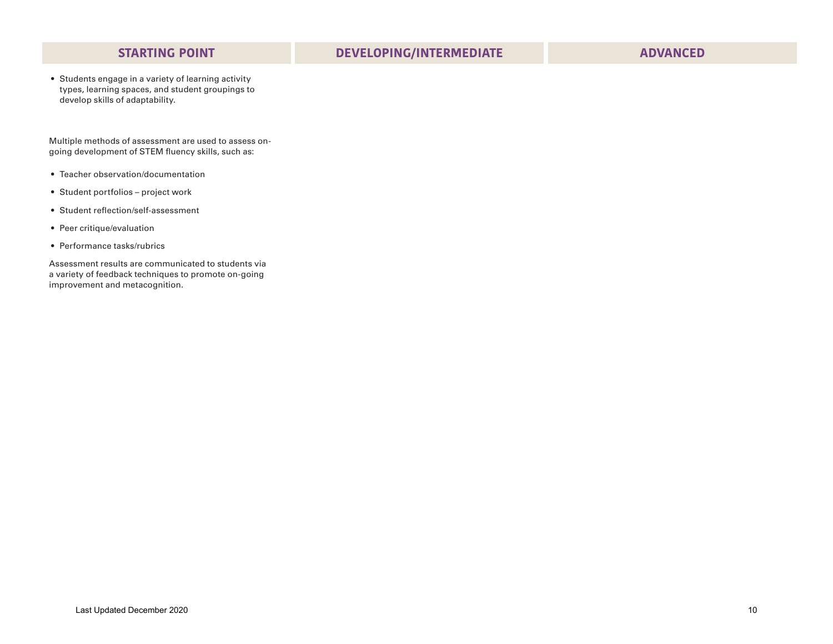• Students engage in a variety of learning activity types, learning spaces, and student groupings to develop skills of adaptability.

Multiple methods of assessment are used to assess ongoing development of STEM fluency skills, such as:

- Teacher observation/documentation
- Student portfolios project work
- Student reflection/self-assessment
- Peer critique/evaluation
- Performance tasks/rubrics

Assessment results are communicated to students via a variety of feedback techniques to promote on-going improvement and metacognition.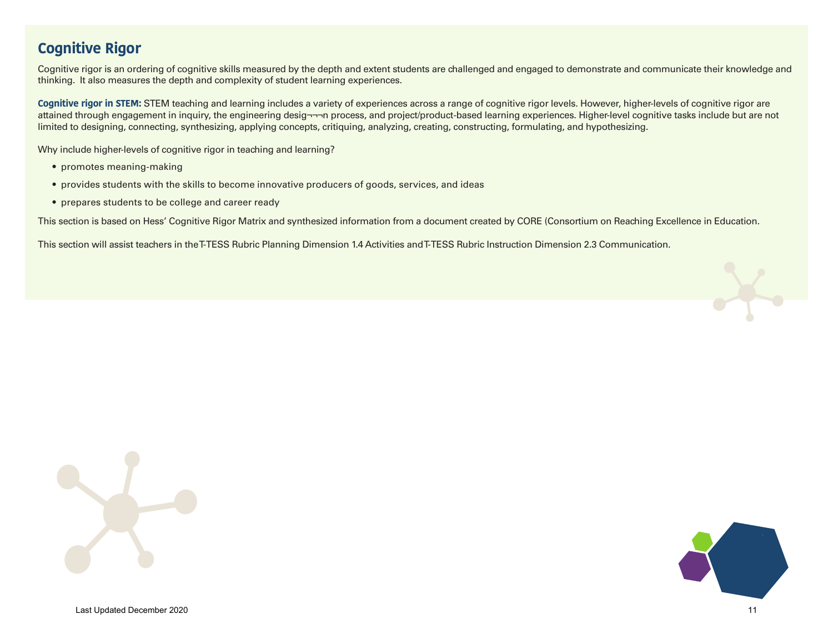# **Cognitive Rigor**

Cognitive rigor is an ordering of cognitive skills measured by the depth and extent students are challenged and engaged to demonstrate and communicate their knowledge and thinking. It also measures the depth and complexity of student learning experiences.

**Cognitive rigor in STEM:** STEM teaching and learning includes a variety of experiences across a range of cognitive rigor levels. However, higher-levels of cognitive rigor are attained through engagement in inquiry, the engineering desig¬¬¬n process, and project/product-based learning experiences. Higher-level cognitive tasks include but are not limited to designing, connecting, synthesizing, applying concepts, critiquing, analyzing, creating, constructing, formulating, and hypothesizing.

Why include higher-levels of cognitive rigor in teaching and learning?

- promotes meaning-making
- provides students with the skills to become innovative producers of goods, services, and ideas
- prepares students to be college and career ready

This section is based on Hess' Cognitive Rigor Matrix and synthesized information from a document created by CORE (Consortium on Reaching Excellence in Education.

This section will assist teachers in the T-TESS Rubric Planning Dimension 1.4 Activities and T-TESS Rubric Instruction Dimension 2.3 Communication.





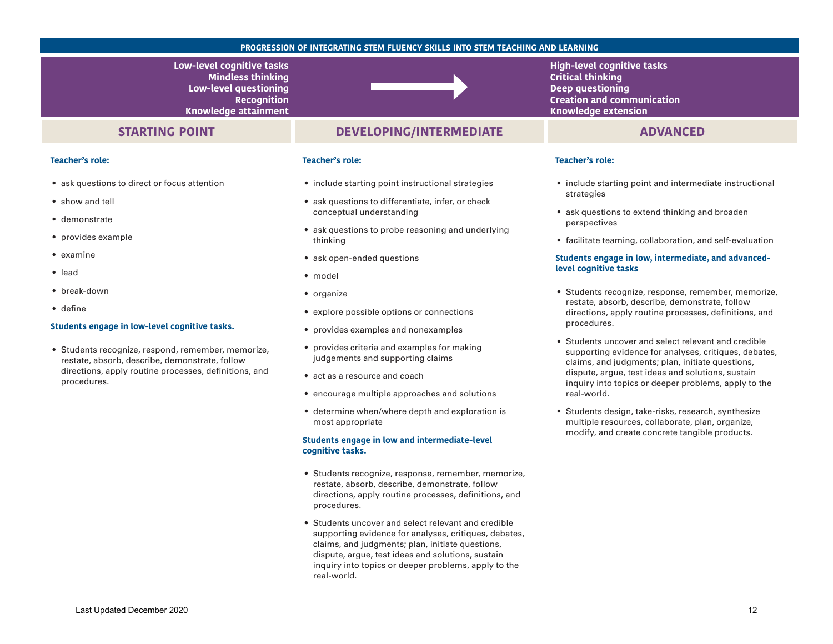#### **PROGRESSION OF INTEGRATING STEM FLUENCY SKILLS INTO STEM TEACHING AND LEARNING**

**Low-level cognitive tasks Mindless thinking Low-level questioning Recognition Knowledge attainment** 

## **STARTING POINT**

## **DEVELOPING/INTERMEDIATE ADVANCED**

### **Teacher's role:**

- ask questions to direct or focus attention
- show and tell
- demonstrate
- provides example
- examine
- lead
- break-down
- define

#### **Students engage in low-level cognitive tasks.**

• Students recognize, respond, remember, memorize, restate, absorb, describe, demonstrate, follow directions, apply routine processes, definitions, and procedures.

### **Teacher's role:**

- include starting point instructional strategies
- ask questions to differentiate, infer, or check conceptual understanding
- ask questions to probe reasoning and underlying thinking
- ask open-ended questions
- model
- organize
- explore possible options or connections
- provides examples and nonexamples
- provides criteria and examples for making judgements and supporting claims
- act as a resource and coach
- encourage multiple approaches and solutions
- determine when/where depth and exploration is most appropriate

#### **Students engage in low and intermediate-level cognitive tasks.**

- Students recognize, response, remember, memorize, restate, absorb, describe, demonstrate, follow directions, apply routine processes, definitions, and procedures.
- Students uncover and select relevant and credible supporting evidence for analyses, critiques, debates, claims, and judgments; plan, initiate questions, dispute, argue, test ideas and solutions, sustain inquiry into topics or deeper problems, apply to the real-world.

**High-level cognitive tasks Critical thinking Deep questioning Creation and communication Knowledge extension** 

#### **Teacher's role:**

- include starting point and intermediate instructional strategies
- ask questions to extend thinking and broaden perspectives
- facilitate teaming, collaboration, and self-evaluation

#### **Students engage in low, intermediate, and advancedlevel cognitive tasks**

- Students recognize, response, remember, memorize, restate, absorb, describe, demonstrate, follow directions, apply routine processes, definitions, and procedures.
- Students uncover and select relevant and credible supporting evidence for analyses, critiques, debates, claims, and judgments; plan, initiate questions, dispute, argue, test ideas and solutions, sustain inquiry into topics or deeper problems, apply to the real-world.
- Students design, take-risks, research, synthesize multiple resources, collaborate, plan, organize, modify, and create concrete tangible products.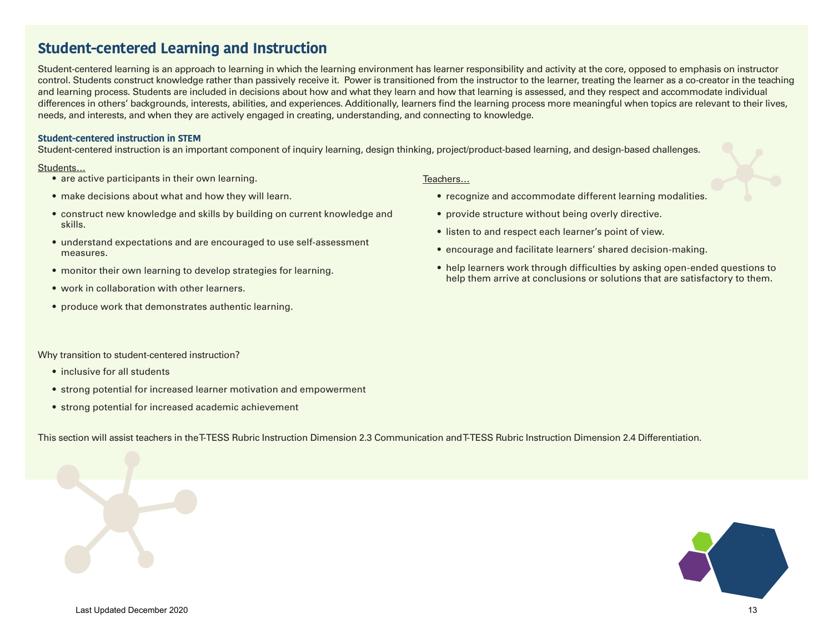# **Student-centered Learning and Instruction**

Student-centered learning is an approach to learning in which the learning environment has learner responsibility and activity at the core, opposed to emphasis on instructor control. Students construct knowledge rather than passively receive it. Power is transitioned from the instructor to the learner, treating the learner as a co-creator in the teaching and learning process. Students are included in decisions about how and what they learn and how that learning is assessed, and they respect and accommodate individual differences in others' backgrounds, interests, abilities, and experiences. Additionally, learners find the learning process more meaningful when topics are relevant to their lives, needs, and interests, and when they are actively engaged in creating, understanding, and connecting to knowledge.

### **Student-centered instruction in STEM**

Student-centered instruction is an important component of inquiry learning, design thinking, project/product-based learning, and design-based challenges.

### Students…

- are active participants in their own learning.
- make decisions about what and how they will learn.
- construct new knowledge and skills by building on current knowledge and skills.
- understand expectations and are encouraged to use self-assessment measures.
- monitor their own learning to develop strategies for learning.
- work in collaboration with other learners.
- produce work that demonstrates authentic learning.

### Teachers…

- recognize and accommodate different learning modalities.
- provide structure without being overly directive.
- listen to and respect each learner's point of view.
- encourage and facilitate learners' shared decision-making.
- help learners work through difficulties by asking open-ended questions to help them arrive at conclusions or solutions that are satisfactory to them.

Why transition to student-centered instruction?

- inclusive for all students
- strong potential for increased learner motivation and empowerment
- strong potential for increased academic achievement

This section will assist teachers in the T-TESS Rubric Instruction Dimension 2.3 Communication and T-TESS Rubric Instruction Dimension 2.4 Differentiation.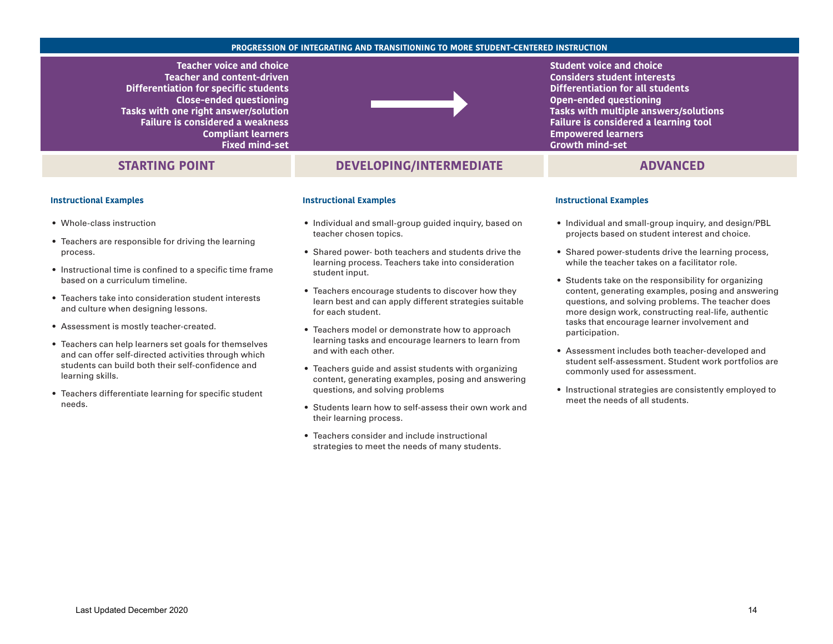#### **PROGRESSION OF INTEGRATING AND TRANSITIONING TO MORE STUDENT-CENTERED INSTRUCTION**

**Teacher voice and choice Teacher and content-driven Differentiation for specific students Close-ended questioning Tasks with one right answer/solution Failure is considered a weakness Compliant learners Fixed mind-set** 

# **STARTING POINT**

#### **Instructional Examples**

- Whole-class instruction
- Teachers are responsible for driving the learning process.
- Instructional time is confined to a specific time frame based on a curriculum timeline.
- Teachers take into consideration student interests and culture when designing lessons.
- Assessment is mostly teacher-created.
- Teachers can help learners set goals for themselves and can offer self-directed activities through which students can build both their self-confidence and learning skills.
- Teachers differentiate learning for specific student needs.



## **DEVELOPING/INTERMEDIATE ADVANCED**

#### **Instructional Examples**

- Individual and small-group guided inquiry, based on teacher chosen topics.
- Shared power- both teachers and students drive the learning process. Teachers take into consideration student input.
- Teachers encourage students to discover how they learn best and can apply different strategies suitable for each student.
- Teachers model or demonstrate how to approach learning tasks and encourage learners to learn from and with each other.
- Teachers quide and assist students with organizing content, generating examples, posing and answering questions, and solving problems
- Students learn how to self-assess their own work and their learning process.
- Teachers consider and include instructional strategies to meet the needs of many students.

**Student voice and choice Considers student interests Differentiation for all students Open-ended questioning Tasks with multiple answers/solutions Failure is considered a learning tool Empowered learners Growth mind-set** 

#### **Instructional Examples**

- Individual and small-group inquiry, and design/PBL projects based on student interest and choice.
- Shared power-students drive the learning process, while the teacher takes on a facilitator role.
- Students take on the responsibility for organizing content, generating examples, posing and answering questions, and solving problems. The teacher does more design work, constructing real-life, authentic tasks that encourage learner involvement and participation.
- Assessment includes both teacher-developed and student self-assessment. Student work portfolios are commonly used for assessment.
- Instructional strategies are consistently employed to meet the needs of all students.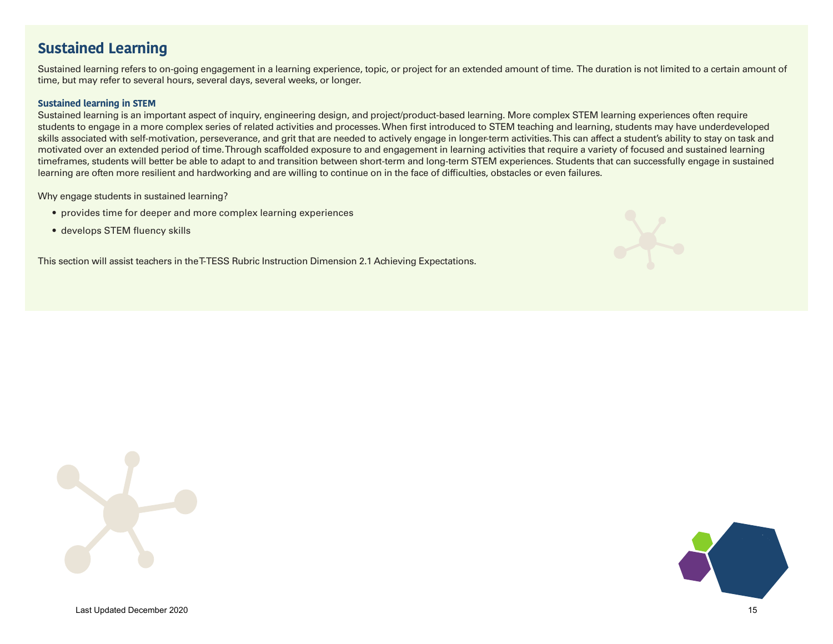# **Sustained Learning**

Sustained learning refers to on-going engagement in a learning experience, topic, or project for an extended amount of time. The duration is not limited to a certain amount of time, but may refer to several hours, several days, several weeks, or longer.

## **Sustained learning in STEM**

Sustained learning is an important aspect of inquiry, engineering design, and project/product-based learning. More complex STEM learning experiences often require students to engage in a more complex series of related activities and processes. When first introduced to STEM teaching and learning, students may have underdeveloped skills associated with self-motivation, perseverance, and grit that are needed to actively engage in longer-term activities. This can affect a student's ability to stay on task and motivated over an extended period of time. Through scaffolded exposure to and engagement in learning activities that require a variety of focused and sustained learning timeframes, students will better be able to adapt to and transition between short-term and long-term STEM experiences. Students that can successfully engage in sustained learning are often more resilient and hardworking and are willing to continue on in the face of difficulties, obstacles or even failures.

Why engage students in sustained learning?

- provides time for deeper and more complex learning experiences
- develops STEM fluency skills

This section will assist teachers in the T-TESS Rubric Instruction Dimension 2.1 Achieving Expectations.





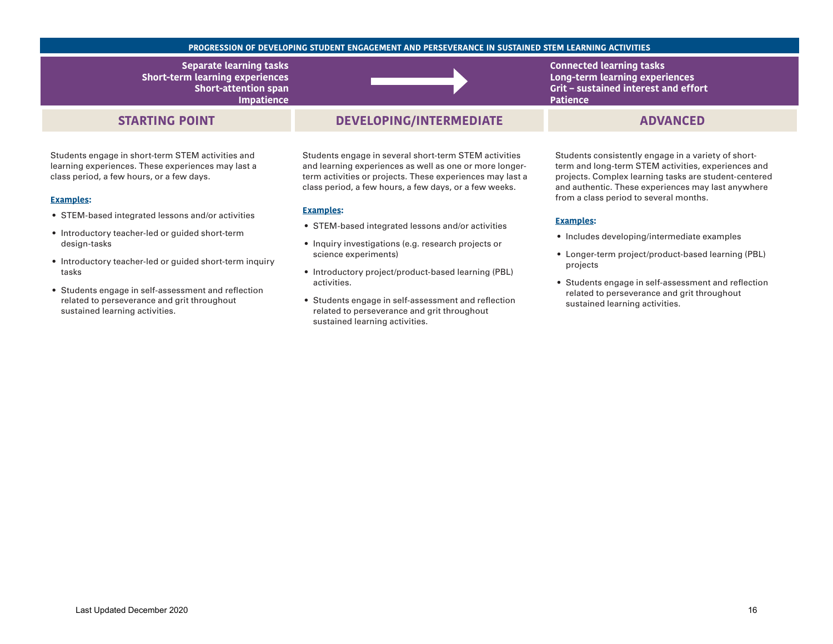#### **PROGRESSION OF DEVELOPING STUDENT ENGAGEMENT AND PERSEVERANCE IN SUSTAINED STEM LEARNING ACTIVITIES**

**Separate learning tasks Short-term learning experiences Short-attention span Impatience** 

## **STARTING POINT**

Students engage in short-term STEM activities and learning experiences. These experiences may last a class period, a few hours, or a few days.

#### **Examples:**

- STEM-based integrated lessons and/or activities
- Introductory teacher-led or guided short-term design-tasks
- Introductory teacher-led or guided short-term inquiry tasks
- Students engage in self-assessment and reflection related to perseverance and grit throughout sustained learning activities.

# **DEVELOPING/INTERMEDIATE ADVANCED**

Students engage in several short-term STEM activities and learning experiences as well as one or more longerterm activities or projects. These experiences may last a class period, a few hours, a few days, or a few weeks.

#### **Examples:**

- STEM-based integrated lessons and/or activities
- Inquiry investigations (e.g. research projects or science experiments)
- Introductory project/product-based learning (PBL) activities.
- Students engage in self-assessment and reflection related to perseverance and grit throughout sustained learning activities.

**Connected learning tasks Long-term learning experiences Grit – sustained interest and effort Patience** 

Students consistently engage in a variety of shortterm and long-term STEM activities, experiences and projects. Complex learning tasks are student-centered and authentic. These experiences may last anywhere from a class period to several months.

- Includes developing/intermediate examples
- Longer-term project/product-based learning (PBL) projects
- Students engage in self-assessment and reflection related to perseverance and grit throughout sustained learning activities.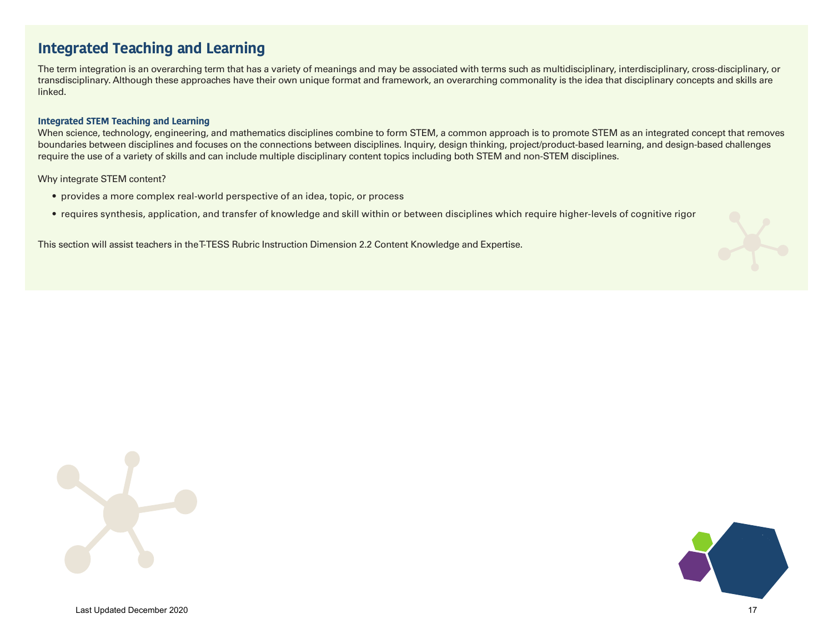# **Integrated Teaching and Learning**

The term integration is an overarching term that has a variety of meanings and may be associated with terms such as multidisciplinary, interdisciplinary, cross-disciplinary, or transdisciplinary. Although these approaches have their own unique format and framework, an overarching commonality is the idea that disciplinary concepts and skills are linked.

### **Integrated STEM Teaching and Learning**

When science, technology, engineering, and mathematics disciplines combine to form STEM, a common approach is to promote STEM as an integrated concept that removes boundaries between disciplines and focuses on the connections between disciplines. Inquiry, design thinking, project/product-based learning, and design-based challenges require the use of a variety of skills and can include multiple disciplinary content topics including both STEM and non-STEM disciplines.

Why integrate STEM content?

- provides a more complex real-world perspective of an idea, topic, or process
- requires synthesis, application, and transfer of knowledge and skill within or between disciplines which require higher-levels of cognitive rigor

This section will assist teachers in the T-TESS Rubric Instruction Dimension 2.2 Content Knowledge and Expertise.



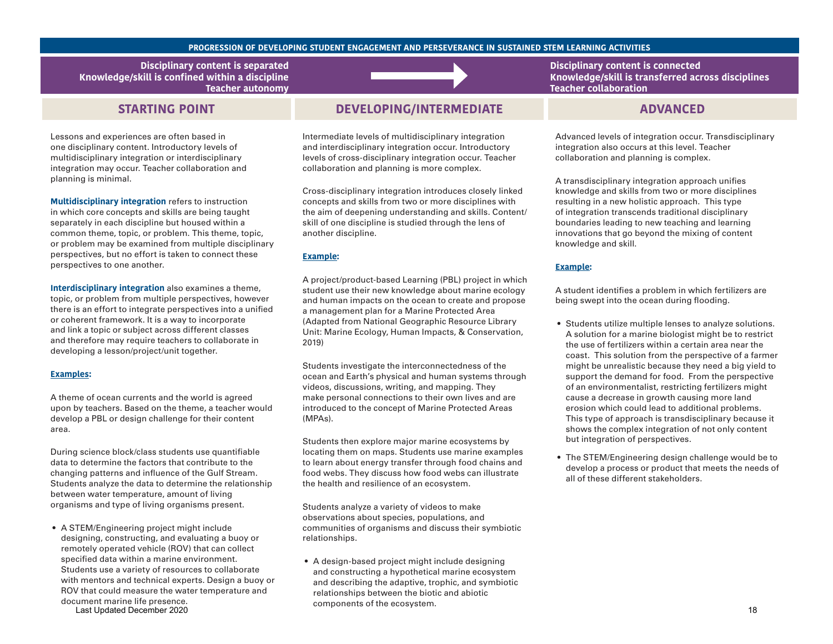#### **PROGRESSION OF DEVELOPING STUDENT ENGAGEMENT AND PERSEVERANCE IN SUSTAINED STEM LEARNING ACTIVITIES**

**Disciplinary content is separated Knowledge/skill is confined within a discipline Teacher autonomy** 

# **STARTING POINT**

Lessons and experiences are often based in one disciplinary content. Introductory levels of multidisciplinary integration or interdisciplinary integration may occur. Teacher collaboration and planning is minimal.

**Multidisciplinary integration** refers to instruction in which core concepts and skills are being taught separately in each discipline but housed within a common theme, topic, or problem. This theme, topic, or problem may be examined from multiple disciplinary perspectives, but no effort is taken to connect these perspectives to one another.

**Interdisciplinary integration** also examines a theme, topic, or problem from multiple perspectives, however there is an effort to integrate perspectives into a unified or coherent framework. It is a way to incorporate and link a topic or subject across different classes and therefore may require teachers to collaborate in developing a lesson/project/unit together.

#### **Examples:**

A theme of ocean currents and the world is agreed upon by teachers. Based on the theme, a teacher would develop a PBL or design challenge for their content area.

During science block/class students use quantifiable data to determine the factors that contribute to the changing patterns and influence of the Gulf Stream. Students analyze the data to determine the relationship between water temperature, amount of living organisms and type of living organisms present.

• A STEM/Engineering project might include designing, constructing, and evaluating a buoy or remotely operated vehicle (ROV) that can collect specified data within a marine environment. Students use a variety of resources to collaborate with mentors and technical experts. Design a buoy or ROV that could measure the water temperature and document marine life presence.

Last Updated December 2020 **18 Components of the ecosystem.** The components of the ecosystem.

# **DEVELOPING/INTERMEDIATE ADVANCED**

Intermediate levels of multidisciplinary integration and interdisciplinary integration occur. Introductory levels of cross-disciplinary integration occur. Teacher collaboration and planning is more complex.

Cross-disciplinary integration introduces closely linked concepts and skills from two or more disciplines with the aim of deepening understanding and skills. Content/ skill of one discipline is studied through the lens of another discipline.

### **Example:**

A project/product-based Learning (PBL) project in which student use their new knowledge about marine ecology and human impacts on the ocean to create and propose a management plan for a Marine Protected Area (Adapted from National Geographic Resource Library Unit: Marine Ecology, Human Impacts, & Conservation, 2019)

Students investigate the interconnectedness of the ocean and Earth's physical and human systems through videos, discussions, writing, and mapping. They make personal connections to their own lives and are introduced to the concept of Marine Protected Areas (MPAs).

Students then explore major marine ecosystems by locating them on maps. Students use marine examples to learn about energy transfer through food chains and food webs. They discuss how food webs can illustrate the health and resilience of an ecosystem.

Students analyze a variety of videos to make observations about species, populations, and communities of organisms and discuss their symbiotic relationships.

• A design-based project might include designing and constructing a hypothetical marine ecosystem and describing the adaptive, trophic, and symbiotic relationships between the biotic and abiotic components of the ecosystem.

**Disciplinary content is connected Knowledge/skill is transferred across disciplines Teacher collaboration** 

Advanced levels of integration occur. Transdisciplinary integration also occurs at this level. Teacher collaboration and planning is complex.

A transdisciplinary integration approach unifies knowledge and skills from two or more disciplines resulting in a new holistic approach. This type of integration transcends traditional disciplinary boundaries leading to new teaching and learning innovations that go beyond the mixing of content knowledge and skill.

### **Example:**

A student identifies a problem in which fertilizers are being swept into the ocean during flooding.

- Students utilize multiple lenses to analyze solutions. A solution for a marine biologist might be to restrict the use of fertilizers within a certain area near the coast. This solution from the perspective of a farmer might be unrealistic because they need a big yield to support the demand for food. From the perspective of an environmentalist, restricting fertilizers might cause a decrease in growth causing more land erosion which could lead to additional problems. This type of approach is transdisciplinary because it shows the complex integration of not only content but integration of perspectives.
- The STEM/Engineering design challenge would be to develop a process or product that meets the needs of all of these different stakeholders.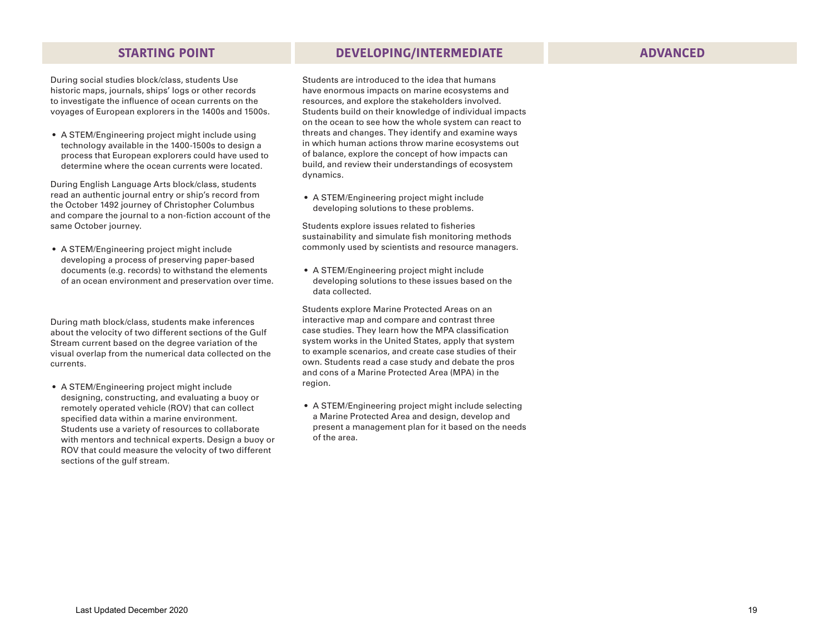## **STARTING POINT DEVELOPING/INTERMEDIATE ADVANCED**

During social studies block/class, students Use historic maps, journals, ships' logs or other records to investigate the influence of ocean currents on the voyages of European explorers in the 1400s and 1500s.

• A STEM/Engineering project might include using technology available in the 1400-1500s to design a process that European explorers could have used to determine where the ocean currents were located.

During English Language Arts block/class, students read an authentic journal entry or ship's record from the October 1492 journey of Christopher Columbus and compare the journal to a non-fiction account of the same October journey.

• A STEM/Engineering project might include developing a process of preserving paper-based documents (e.g. records) to withstand the elements of an ocean environment and preservation over time.

During math block/class, students make inferences about the velocity of two different sections of the Gulf Stream current based on the degree variation of the visual overlap from the numerical data collected on the currents.

• A STEM/Engineering project might include designing, constructing, and evaluating a buoy or remotely operated vehicle (ROV) that can collect specified data within a marine environment. Students use a variety of resources to collaborate with mentors and technical experts. Design a buoy or ROV that could measure the velocity of two different sections of the gulf stream.

Students are introduced to the idea that humans have enormous impacts on marine ecosystems and resources, and explore the stakeholders involved. Students build on their knowledge of individual impacts on the ocean to see how the whole system can react to threats and changes. They identify and examine ways in which human actions throw marine ecosystems out of balance, explore the concept of how impacts can build, and review their understandings of ecosystem dynamics.

• A STEM/Engineering project might include developing solutions to these problems.

Students explore issues related to fisheries sustainability and simulate fish monitoring methods commonly used by scientists and resource managers.

• A STEM/Engineering project might include developing solutions to these issues based on the data collected.

Students explore Marine Protected Areas on an interactive map and compare and contrast three case studies. They learn how the MPA classification system works in the United States, apply that system to example scenarios, and create case studies of their own. Students read a case study and debate the pros and cons of a Marine Protected Area (MPA) in the region.

• A STEM/Engineering project might include selecting a Marine Protected Area and design, develop and present a management plan for it based on the needs of the area.